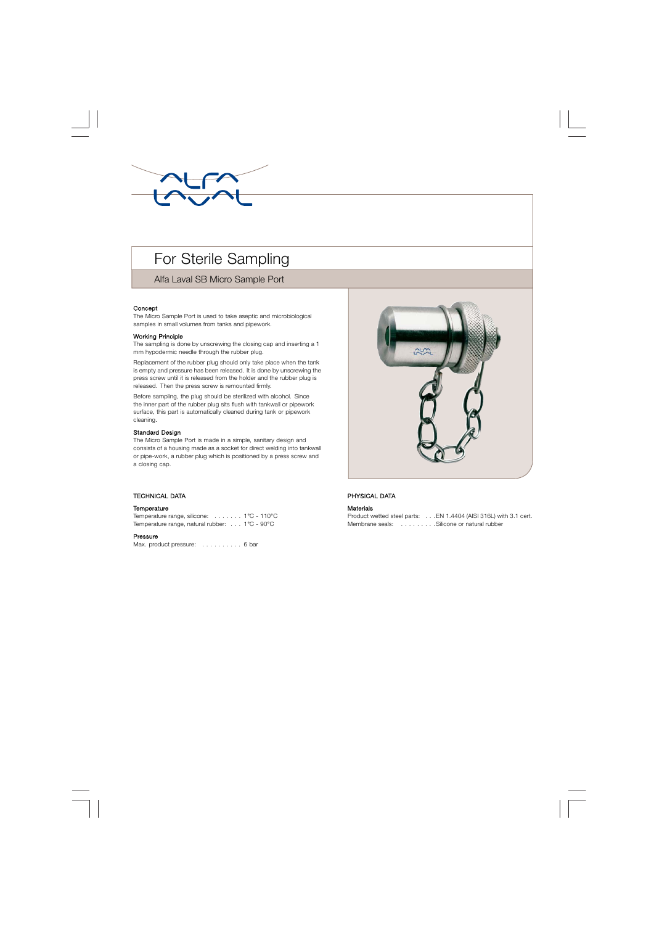

# For Sterile Sampling

Alfa Laval SB Micro Sample Port

# Concept

The Micro Sample Port is used to take aseptic and microbiological samples in small volumes from tanks and pipework.

#### Working Principle

The sampling is done by unscrewing the closing cap and inserting a 1 mm hypodermic needle through the rubber plug.

Replacement of the rubber plug should only take place when the tank is empty and pressure has been released. It is done by unscrewing the press screw until it is released from the holder and the rubber plug is released. Then the press screw is remounted firmly.

Before sampling, the plug should be sterilized with alcohol. Since the inner part of the rubber plug sits flush with tankwall or pipework surface, this part is automatically cleaned during tank or pipework cleaning.

## Standard Design

The Micro Sample Port is made in a simple, sanitary design and consists of a housing made as a socket for direct welding into tankwall or pipe-work, a rubber plug which is positioned by a press screw and a closing cap.

# . TECHNICAL DATA

#### **Temperature**

Temperature range, silicone: . . . . . . . 1°C - 110°C Temperature range, natural rubber: . . . 1°C - 90°C

#### Pressure

Max. product pressure: . . . . . . . . . . 6 bar



# PHYSICAL DATA

#### Materials

|                 | Product wetted steel parts: EN 1.4404 (AISI 316L) with 3.1 cert. |  |
|-----------------|------------------------------------------------------------------|--|
| Membrane seals: | Silicone or natural rubber                                       |  |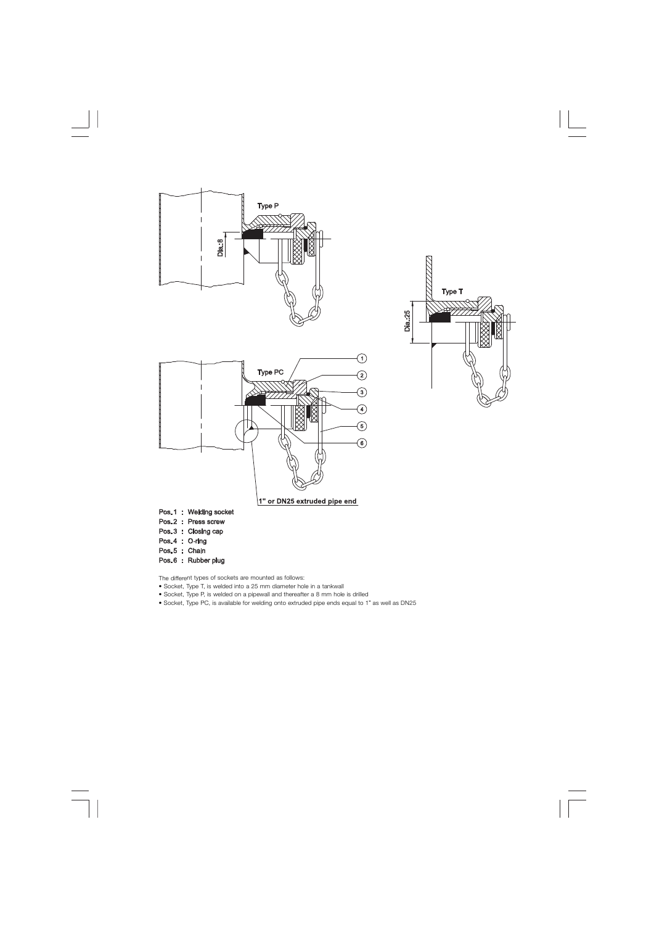





- Socket, Type T, is welded into a 25 mm diameter hole in a tankwall
- Socket, Type P, is welded on a pipewall and thereafter a 8 mm hole is drilled
- Socket, Type PC, is available for welding onto extruded pipe ends equal to 1" as well as DN25